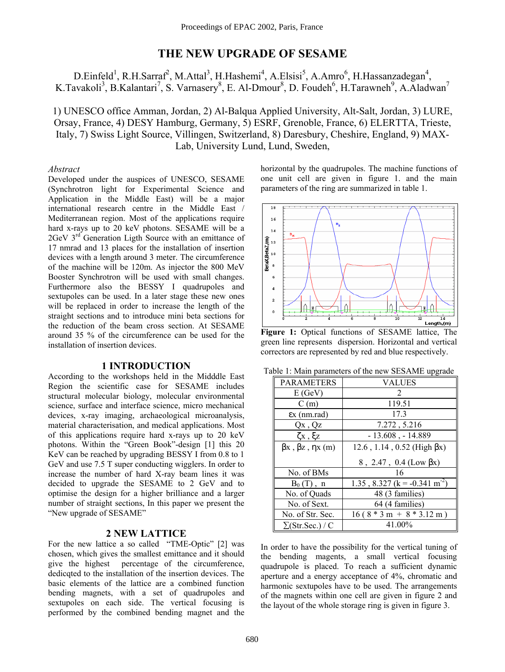# **THE NEW UPGRADE OF SESAME**

D.Einfeld<sup>1</sup>, R.H.Sarraf<sup>2</sup>, M.Attal<sup>3</sup>, H.Hashemi<sup>4</sup>, A.Elsisi<sup>5</sup>, A.Amro<sup>6</sup>, H.Hassanzadegan<sup>4</sup>, K.Tavakoli<sup>3</sup>, B.Kalantari<sup>7</sup>, S. Varnasery<sup>8</sup>, E. Al-Dmour<sup>8</sup>, D. Foudeh<sup>6</sup>, H.Tarawneh<sup>9</sup>, A.Aladwan<sup>7</sup>

1) UNESCO office Amman, Jordan, 2) Al-Balqua Applied University, Alt-Salt, Jordan, 3) LURE, Orsay, France, 4) DESY Hamburg, Germany, 5) ESRF, Grenoble, France, 6) ELERTTA, Trieste, Italy, 7) Swiss Light Source, Villingen, Switzerland, 8) Daresbury, Cheshire, England, 9) MAX-Lab, University Lund, Lund, Sweden,

## *Abstract*

Developed under the auspices of UNESCO, SESAME (Synchrotron light for Experimental Science and Application in the Middle East) will be a major international research centre in the Middle East / Mediterranean region. Most of the applications require hard x-rays up to 20 keV photons. SESAME will be a 2GeV 3<sup>rd</sup> Generation Ligth Source with an emittance of 17 nmrad and 13 places for the installation of insertion devices with a length around 3 meter. The circumference of the machine will be 120m. As injector the 800 MeV Booster Synchrotron will be used with small changes. Furthermore also the BESSY I quadrupoles and sextupoles can be used. In a later stage these new ones will be replaced in order to increase the length of the straight sections and to introduce mini beta sections for the reduction of the beam cross section. At SESAME around 35 % of the circumference can be used for the installation of insertion devices.

## **1 INTRODUCTION**

According to the workshops held in the Midddle East Region the scientific case for SESAME includes structural molecular biology, molecular environmental science, surface and interface science, micro mechanical devices, x-ray imaging, archaeological microanalysis, material characterisation, and medical applications. Most of this applications require hard x-rays up to 20 keV photons. Within the "Green Book"-design  $[1]$  this 20 KeV can be reached by upgrading BESSY I from 0.8 to 1 GeV and use 7.5 T super conducting wigglers. In order to increase the number of hard X-ray beam lines it was decided to upgrade the SESAME to 2 GeV and to optimise the design for a higher brilliance and a larger number of straight sections, In this paper we present the "New upgrade of SESAME"

## **2 NEW LATTICE**

For the new lattice a so called "TME-Optic" [2] was chosen, which gives the smallest emittance and it should give the highest percentage of the circumference, dedicqted to the installation of the insertion devices. The basic elements of the lattice are a combined function bending magnets, with a set of quadrupoles and sextupoles on each side. The vertical focusing is performed by the combined bending magnet and the horizontal by the quadrupoles. The machine functions of one unit cell are given in figure 1. and the main parameters of the ring are summarized in table 1.



**Figure 1:** Optical functions of SESAME lattice, The green line represents dispersion. Horizontal and vertical correctors are represented by red and blue respectively.

| Table 1: Main parameters of the new SESAME upgrade |  |
|----------------------------------------------------|--|
|----------------------------------------------------|--|

| <b>PARAMETERS</b>                    | <b>VALUES</b>                             |
|--------------------------------------|-------------------------------------------|
| E(GeV)                               | 2                                         |
| C(m)                                 | 119.51                                    |
| $\epsilon$ x (nm.rad)                | 173                                       |
| $Qx$ , $Qz$                          | 7.272, 5.216                              |
| ζx , ξz                              | $-13.608$ , $-14.889$                     |
| $\beta x$ , $\beta z$ , $\eta x$ (m) | $12.6$ , 1.14, 0.52 (High $\beta x$ )     |
|                                      | 8, 2.47, 0.4 (Low $\beta x$ )             |
| No. of BMs                           | 16                                        |
| $B_0(T)$ , n                         | 1.35, 8.327 (k = -0.341 m <sup>-2</sup> ) |
| No. of Quads                         | 48 (3 families)                           |
| No. of Sext.                         | 64 (4 families)                           |
| No. of Str. Sec.                     | $16(8 * 3 m + 8 * 3.12 m)$                |
| $\Sigma$ (Str.Sec.) / C              | 41.00%                                    |

In order to have the possibility for the vertical tuning of the bending magents, a small vertical focusing quadrupole is placed. To reach a sufficient dynamic aperture and a energy acceptance of 4%, chromatic and harmonic sextupoles have to be used. The arrangements of the magnets within one cell are given in figure 2 and the layout of the whole storage ring is given in figure 3.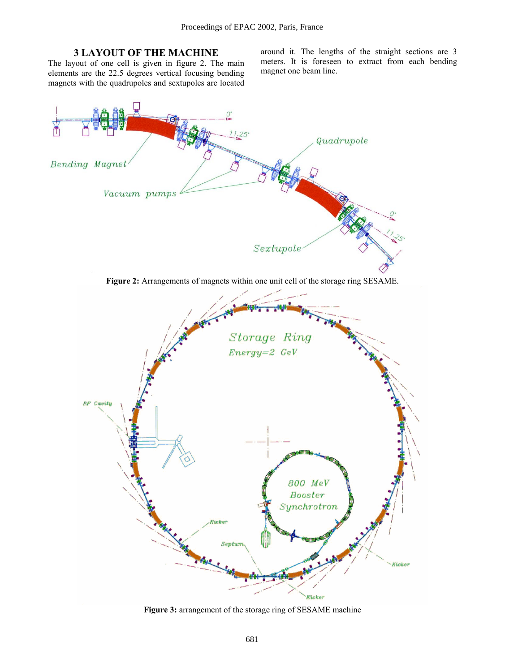## **3 LAYOUT OF THE MACHINE**

The layout of one cell is given in figure 2. The main elements are the 22.5 degrees vertical focusing bending magnets with the quadrupoles and sextupoles are located around it. The lengths of the straight sections are 3 meters. It is foreseen to extract from each bending magnet one beam line.



**Figure 3:** arrangement of the storage ring of SESAME machine